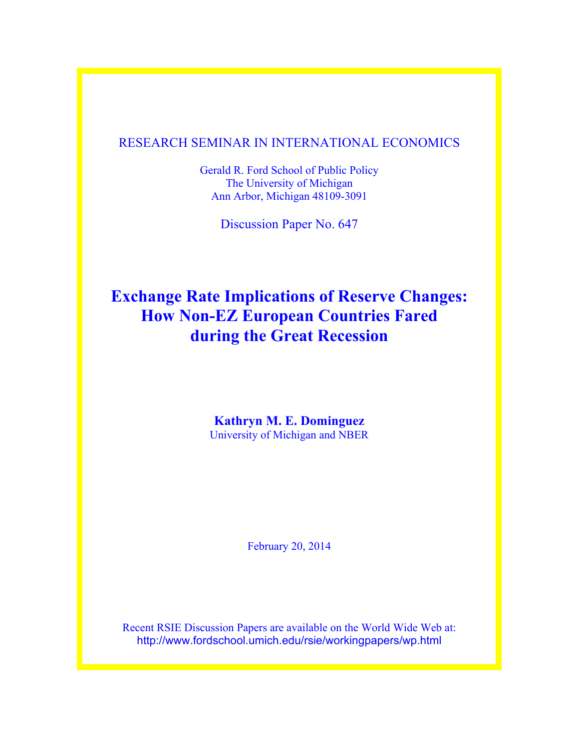### RESEARCH SEMINAR IN INTERNATIONAL ECONOMICS

Gerald R. Ford School of Public Policy The University of Michigan Ann Arbor, Michigan 48109-3091

Discussion Paper No. 647

# **Exchange Rate Implications of Reserve Changes: How Non-EZ European Countries Fared during the Great Recession**

**Kathryn M. E. Dominguez** University of Michigan and NBER

February 20, 2014

Recent RSIE Discussion Papers are available on the World Wide Web at: http://www.fordschool.umich.edu/rsie/workingpapers/wp.html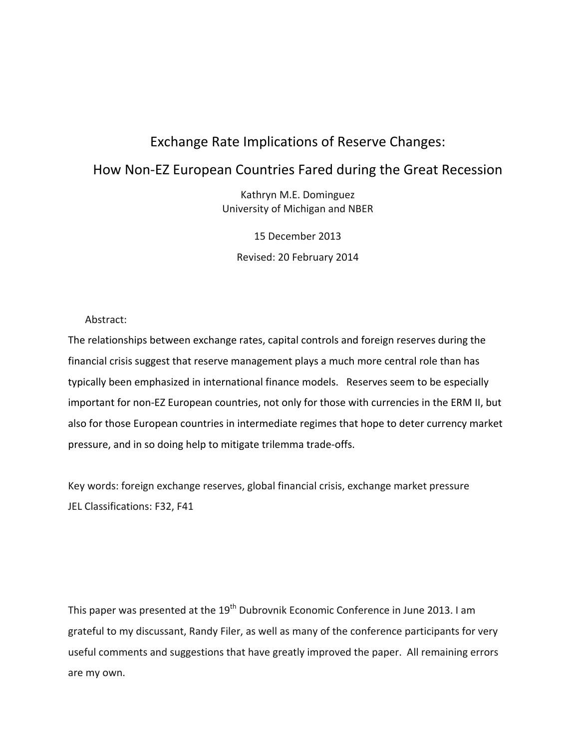# Exchange Rate Implications of Reserve Changes:

## How Non‐EZ European Countries Fared during the Great Recession

Kathryn M.E. Dominguez University of Michigan and NBER

15 December 2013 Revised: 20 February 2014

Abstract:

The relationships between exchange rates, capital controls and foreign reserves during the financial crisis suggest that reserve management plays a much more central role than has typically been emphasized in international finance models. Reserves seem to be especially important for non-EZ European countries, not only for those with currencies in the ERM II, but also for those European countries in intermediate regimes that hope to deter currency market pressure, and in so doing help to mitigate trilemma trade‐offs.

Key words: foreign exchange reserves, global financial crisis, exchange market pressure JEL Classifications: F32, F41

This paper was presented at the  $19<sup>th</sup>$  Dubrovnik Economic Conference in June 2013. I am grateful to my discussant, Randy Filer, as well as many of the conference participants for very useful comments and suggestions that have greatly improved the paper. All remaining errors are my own.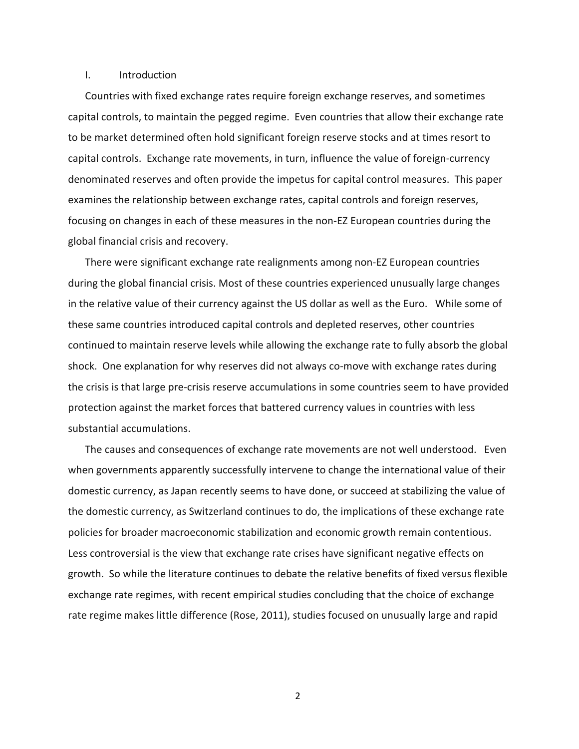#### I. Introduction

Countries with fixed exchange rates require foreign exchange reserves, and sometimes capital controls, to maintain the pegged regime. Even countries that allow their exchange rate to be market determined often hold significant foreign reserve stocks and at times resort to capital controls. Exchange rate movements, in turn, influence the value of foreign‐currency denominated reserves and often provide the impetus for capital control measures. This paper examines the relationship between exchange rates, capital controls and foreign reserves, focusing on changes in each of these measures in the non‐EZ European countries during the global financial crisis and recovery.

There were significant exchange rate realignments among non‐EZ European countries during the global financial crisis. Most of these countries experienced unusually large changes in the relative value of their currency against the US dollar as well as the Euro. While some of these same countries introduced capital controls and depleted reserves, other countries continued to maintain reserve levels while allowing the exchange rate to fully absorb the global shock. One explanation for why reserves did not always co-move with exchange rates during the crisis is that large pre‐crisis reserve accumulations in some countries seem to have provided protection against the market forces that battered currency values in countries with less substantial accumulations.

The causes and consequences of exchange rate movements are not well understood. Even when governments apparently successfully intervene to change the international value of their domestic currency, as Japan recently seems to have done, or succeed at stabilizing the value of the domestic currency, as Switzerland continues to do, the implications of these exchange rate policies for broader macroeconomic stabilization and economic growth remain contentious. Less controversial is the view that exchange rate crises have significant negative effects on growth. So while the literature continues to debate the relative benefits of fixed versus flexible exchange rate regimes, with recent empirical studies concluding that the choice of exchange rate regime makes little difference (Rose, 2011), studies focused on unusually large and rapid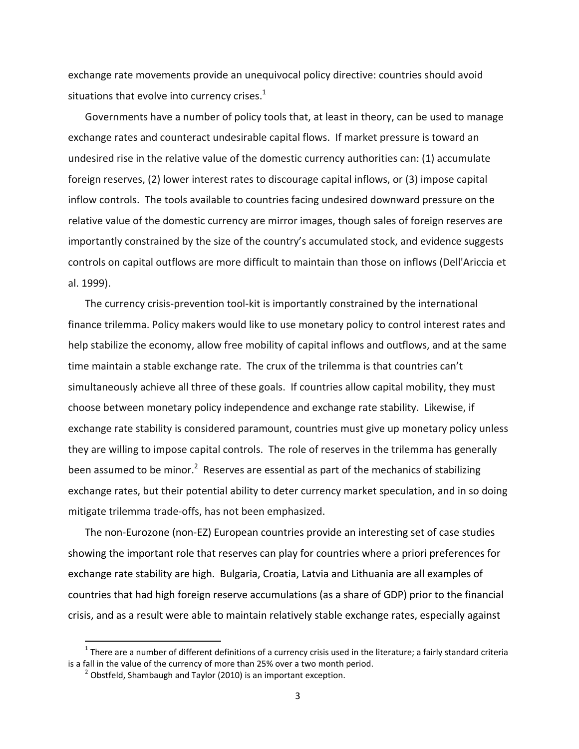exchange rate movements provide an unequivocal policy directive: countries should avoid situations that evolve into currency crises. $1$ 

Governments have a number of policy tools that, at least in theory, can be used to manage exchange rates and counteract undesirable capital flows. If market pressure is toward an undesired rise in the relative value of the domestic currency authorities can: (1) accumulate foreign reserves, (2) lower interest rates to discourage capital inflows, or (3) impose capital inflow controls. The tools available to countries facing undesired downward pressure on the relative value of the domestic currency are mirror images, though sales of foreign reserves are importantly constrained by the size of the country's accumulated stock, and evidence suggests controls on capital outflows are more difficult to maintain than those on inflows (Dell'Ariccia et al. 1999).

The currency crisis‐prevention tool‐kit is importantly constrained by the international finance trilemma. Policy makers would like to use monetary policy to control interest rates and help stabilize the economy, allow free mobility of capital inflows and outflows, and at the same time maintain a stable exchange rate. The crux of the trilemma is that countries can't simultaneously achieve all three of these goals. If countries allow capital mobility, they must choose between monetary policy independence and exchange rate stability. Likewise, if exchange rate stability is considered paramount, countries must give up monetary policy unless they are willing to impose capital controls. The role of reserves in the trilemma has generally been assumed to be minor.<sup>2</sup> Reserves are essential as part of the mechanics of stabilizing exchange rates, but their potential ability to deter currency market speculation, and in so doing mitigate trilemma trade‐offs, has not been emphasized.

The non‐Eurozone (non‐EZ) European countries provide an interesting set of case studies showing the important role that reserves can play for countries where a priori preferences for exchange rate stability are high. Bulgaria, Croatia, Latvia and Lithuania are all examples of countries that had high foreign reserve accumulations (as a share of GDP) prior to the financial crisis, and as a result were able to maintain relatively stable exchange rates, especially against

<sup>&</sup>lt;sup>1</sup> There are a number of different definitions of a currency crisis used in the literature; a fairly standard criteria is a fall in the value of the currency of more than 25% over a two month period.

<sup>&</sup>lt;sup>2</sup> Obstfeld, Shambaugh and Taylor (2010) is an important exception.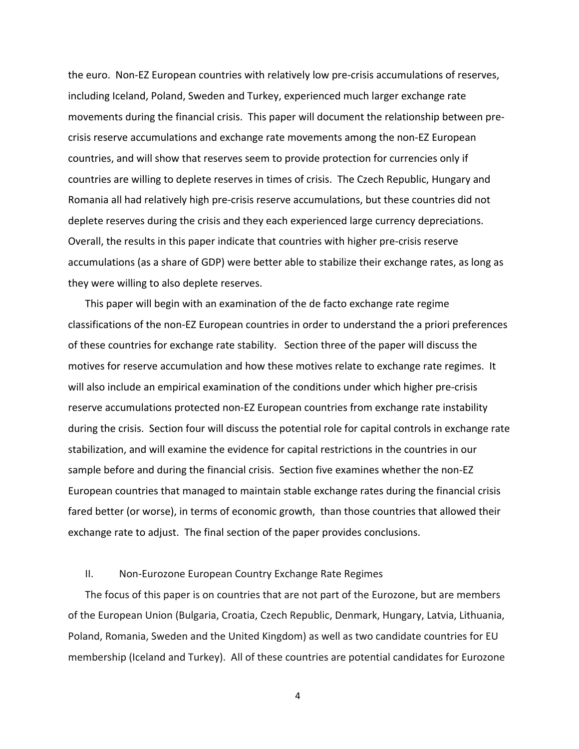the euro. Non‐EZ European countries with relatively low pre‐crisis accumulations of reserves, including Iceland, Poland, Sweden and Turkey, experienced much larger exchange rate movements during the financial crisis. This paper will document the relationship between pre‐ crisis reserve accumulations and exchange rate movements among the non‐EZ European countries, and will show that reserves seem to provide protection for currencies only if countries are willing to deplete reserves in times of crisis. The Czech Republic, Hungary and Romania all had relatively high pre‐crisis reserve accumulations, but these countries did not deplete reserves during the crisis and they each experienced large currency depreciations. Overall, the results in this paper indicate that countries with higher pre‐crisis reserve accumulations (as a share of GDP) were better able to stabilize their exchange rates, as long as they were willing to also deplete reserves.

This paper will begin with an examination of the de facto exchange rate regime classifications of the non‐EZ European countries in order to understand the a priori preferences of these countries for exchange rate stability. Section three of the paper will discuss the motives for reserve accumulation and how these motives relate to exchange rate regimes. It will also include an empirical examination of the conditions under which higher pre-crisis reserve accumulations protected non‐EZ European countries from exchange rate instability during the crisis. Section four will discuss the potential role for capital controls in exchange rate stabilization, and will examine the evidence for capital restrictions in the countries in our sample before and during the financial crisis. Section five examines whether the non‐EZ European countries that managed to maintain stable exchange rates during the financial crisis fared better (or worse), in terms of economic growth, than those countries that allowed their exchange rate to adjust. The final section of the paper provides conclusions.

#### II. Non‐Eurozone European Country Exchange Rate Regimes

The focus of this paper is on countries that are not part of the Eurozone, but are members of the European Union (Bulgaria, Croatia, Czech Republic, Denmark, Hungary, Latvia, Lithuania, Poland, Romania, Sweden and the United Kingdom) as well as two candidate countries for EU membership (Iceland and Turkey). All of these countries are potential candidates for Eurozone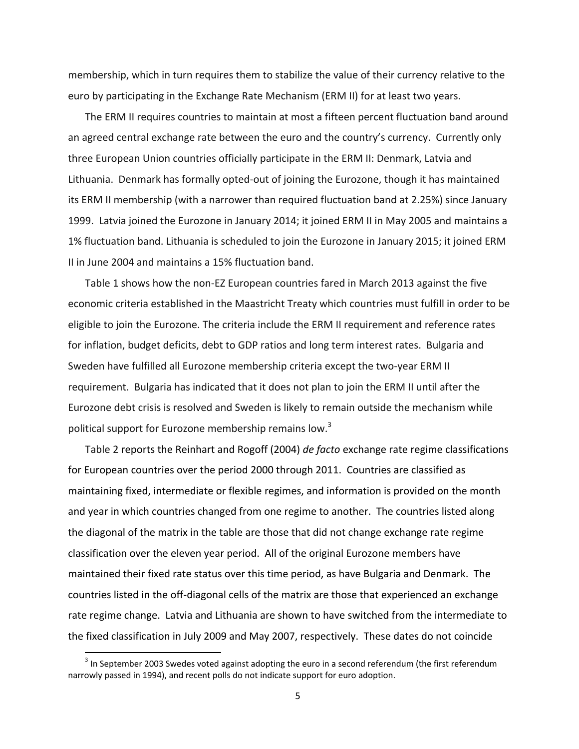membership, which in turn requires them to stabilize the value of their currency relative to the euro by participating in the Exchange Rate Mechanism (ERM II) for at least two years.

The ERM II requires countries to maintain at most a fifteen percent fluctuation band around an agreed central exchange rate between the euro and the country's currency. Currently only three European Union countries officially participate in the ERM II: Denmark, Latvia and Lithuania. Denmark has formally opted‐out of joining the Eurozone, though it has maintained its ERM II membership (with a narrower than required fluctuation band at 2.25%) since January 1999. Latvia joined the Eurozone in January 2014; it joined ERM II in May 2005 and maintains a 1% fluctuation band. Lithuania is scheduled to join the Eurozone in January 2015; it joined ERM II in June 2004 and maintains a 15% fluctuation band.

Table 1 shows how the non‐EZ European countries fared in March 2013 against the five economic criteria established in the Maastricht Treaty which countries must fulfill in order to be eligible to join the Eurozone. The criteria include the ERM II requirement and reference rates for inflation, budget deficits, debt to GDP ratios and long term interest rates. Bulgaria and Sweden have fulfilled all Eurozone membership criteria except the two-year ERM II requirement. Bulgaria has indicated that it does not plan to join the ERM II until after the Eurozone debt crisis is resolved and Sweden is likely to remain outside the mechanism while political support for Eurozone membership remains low.<sup>3</sup>

Table 2 reports the Reinhart and Rogoff (2004) *de facto* exchange rate regime classifications for European countries over the period 2000 through 2011. Countries are classified as maintaining fixed, intermediate or flexible regimes, and information is provided on the month and year in which countries changed from one regime to another. The countries listed along the diagonal of the matrix in the table are those that did not change exchange rate regime classification over the eleven year period. All of the original Eurozone members have maintained their fixed rate status over this time period, as have Bulgaria and Denmark. The countries listed in the off‐diagonal cells of the matrix are those that experienced an exchange rate regime change. Latvia and Lithuania are shown to have switched from the intermediate to the fixed classification in July 2009 and May 2007, respectively. These dates do not coincide

 $3$  In September 2003 Swedes voted against adopting the euro in a second referendum (the first referendum narrowly passed in 1994), and recent polls do not indicate support for euro adoption.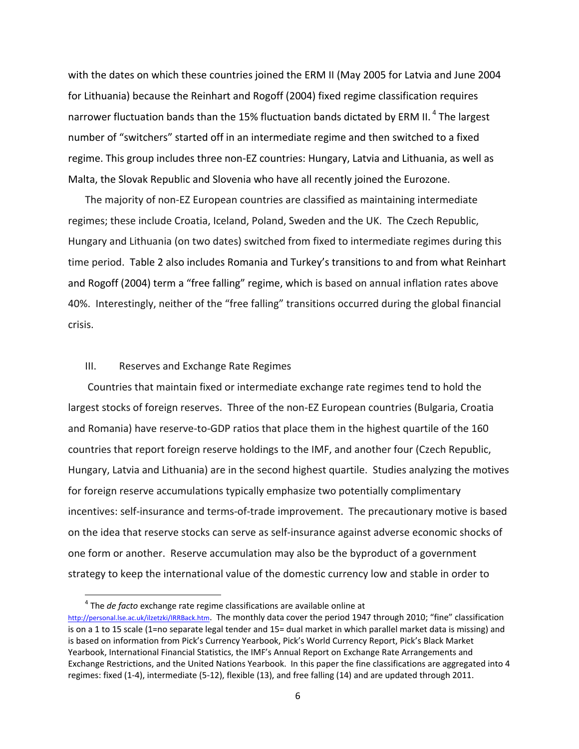with the dates on which these countries joined the ERM II (May 2005 for Latvia and June 2004 for Lithuania) because the Reinhart and Rogoff (2004) fixed regime classification requires narrower fluctuation bands than the 15% fluctuation bands dictated by ERM II.<sup>4</sup> The largest number of "switchers" started off in an intermediate regime and then switched to a fixed regime. This group includes three non‐EZ countries: Hungary, Latvia and Lithuania, as well as Malta, the Slovak Republic and Slovenia who have all recently joined the Eurozone.

The majority of non‐EZ European countries are classified as maintaining intermediate regimes; these include Croatia, Iceland, Poland, Sweden and the UK. The Czech Republic, Hungary and Lithuania (on two dates) switched from fixed to intermediate regimes during this time period. Table 2 also includes Romania and Turkey's transitions to and from what Reinhart and Rogoff (2004) term a "free falling" regime, which is based on annual inflation rates above 40%. Interestingly, neither of the "free falling" transitions occurred during the global financial crisis.

#### III. Reserves and Exchange Rate Regimes

Countries that maintain fixed or intermediate exchange rate regimes tend to hold the largest stocks of foreign reserves. Three of the non‐EZ European countries (Bulgaria, Croatia and Romania) have reserve-to-GDP ratios that place them in the highest quartile of the 160 countries that report foreign reserve holdings to the IMF, and another four (Czech Republic, Hungary, Latvia and Lithuania) are in the second highest quartile. Studies analyzing the motives for foreign reserve accumulations typically emphasize two potentially complimentary incentives: self-insurance and terms-of-trade improvement. The precautionary motive is based on the idea that reserve stocks can serve as self‐insurance against adverse economic shocks of one form or another. Reserve accumulation may also be the byproduct of a government strategy to keep the international value of the domestic currency low and stable in order to

<sup>4</sup> The *de facto* exchange rate regime classifications are available online at http://personal.lse.ac.uk/ilzetzki/IRRBack.htm. The monthly data cover the period 1947 through 2010; "fine" classification is on a 1 to 15 scale (1=no separate legal tender and 15= dual market in which parallel market data is missing) and is based on information from Pick's Currency Yearbook, Pick's World Currency Report, Pick's Black Market Yearbook, International Financial Statistics, the IMF's Annual Report on Exchange Rate Arrangements and Exchange Restrictions, and the United Nations Yearbook. In this paper the fine classifications are aggregated into 4 regimes: fixed (1‐4), intermediate (5‐12), flexible (13), and free falling (14) and are updated through 2011.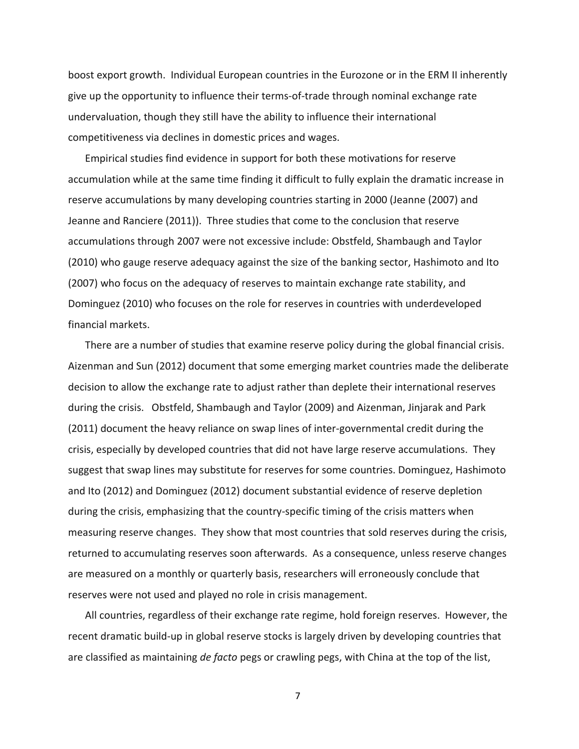boost export growth. Individual European countries in the Eurozone or in the ERM II inherently give up the opportunity to influence their terms‐of‐trade through nominal exchange rate undervaluation, though they still have the ability to influence their international competitiveness via declines in domestic prices and wages.

Empirical studies find evidence in support for both these motivations for reserve accumulation while at the same time finding it difficult to fully explain the dramatic increase in reserve accumulations by many developing countries starting in 2000 (Jeanne (2007) and Jeanne and Ranciere (2011)). Three studies that come to the conclusion that reserve accumulations through 2007 were not excessive include: Obstfeld, Shambaugh and Taylor (2010) who gauge reserve adequacy against the size of the banking sector, Hashimoto and Ito (2007) who focus on the adequacy of reserves to maintain exchange rate stability, and Dominguez (2010) who focuses on the role for reserves in countries with underdeveloped financial markets.

There are a number of studies that examine reserve policy during the global financial crisis. Aizenman and Sun (2012) document that some emerging market countries made the deliberate decision to allow the exchange rate to adjust rather than deplete their international reserves during the crisis. Obstfeld, Shambaugh and Taylor (2009) and Aizenman, Jinjarak and Park (2011) document the heavy reliance on swap lines of inter‐governmental credit during the crisis, especially by developed countries that did not have large reserve accumulations. They suggest that swap lines may substitute for reserves for some countries. Dominguez, Hashimoto and Ito (2012) and Dominguez (2012) document substantial evidence of reserve depletion during the crisis, emphasizing that the country-specific timing of the crisis matters when measuring reserve changes. They show that most countries that sold reserves during the crisis, returned to accumulating reserves soon afterwards. As a consequence, unless reserve changes are measured on a monthly or quarterly basis, researchers will erroneously conclude that reserves were not used and played no role in crisis management.

All countries, regardless of their exchange rate regime, hold foreign reserves. However, the recent dramatic build‐up in global reserve stocks is largely driven by developing countries that are classified as maintaining *de facto* pegs or crawling pegs, with China at the top of the list,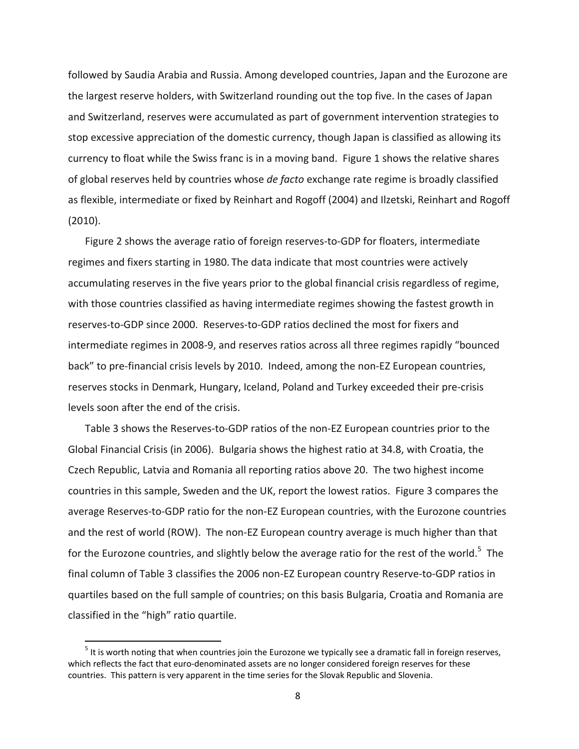followed by Saudia Arabia and Russia. Among developed countries, Japan and the Eurozone are the largest reserve holders, with Switzerland rounding out the top five. In the cases of Japan and Switzerland, reserves were accumulated as part of government intervention strategies to stop excessive appreciation of the domestic currency, though Japan is classified as allowing its currency to float while the Swiss franc is in a moving band. Figure 1 shows the relative shares of global reserves held by countries whose *de facto* exchange rate regime is broadly classified as flexible, intermediate or fixed by Reinhart and Rogoff (2004) and Ilzetski, Reinhart and Rogoff (2010).

Figure 2 shows the average ratio of foreign reserves‐to‐GDP for floaters, intermediate regimes and fixers starting in 1980. The data indicate that most countries were actively accumulating reserves in the five years prior to the global financial crisis regardless of regime, with those countries classified as having intermediate regimes showing the fastest growth in reserves‐to‐GDP since 2000. Reserves‐to‐GDP ratios declined the most for fixers and intermediate regimes in 2008‐9, and reserves ratios across all three regimes rapidly "bounced back" to pre-financial crisis levels by 2010. Indeed, among the non-EZ European countries, reserves stocks in Denmark, Hungary, Iceland, Poland and Turkey exceeded their pre‐crisis levels soon after the end of the crisis.

Table 3 shows the Reserves‐to‐GDP ratios of the non‐EZ European countries prior to the Global Financial Crisis (in 2006). Bulgaria shows the highest ratio at 34.8, with Croatia, the Czech Republic, Latvia and Romania all reporting ratios above 20. The two highest income countries in this sample, Sweden and the UK, report the lowest ratios. Figure 3 compares the average Reserves‐to‐GDP ratio for the non‐EZ European countries, with the Eurozone countries and the rest of world (ROW). The non-EZ European country average is much higher than that for the Eurozone countries, and slightly below the average ratio for the rest of the world.<sup>5</sup> The final column of Table 3 classifies the 2006 non‐EZ European country Reserve‐to‐GDP ratios in quartiles based on the full sample of countries; on this basis Bulgaria, Croatia and Romania are classified in the "high" ratio quartile.

 $<sup>5</sup>$  It is worth noting that when countries join the Eurozone we typically see a dramatic fall in foreign reserves,</sup> which reflects the fact that euro-denominated assets are no longer considered foreign reserves for these countries. This pattern is very apparent in the time series for the Slovak Republic and Slovenia.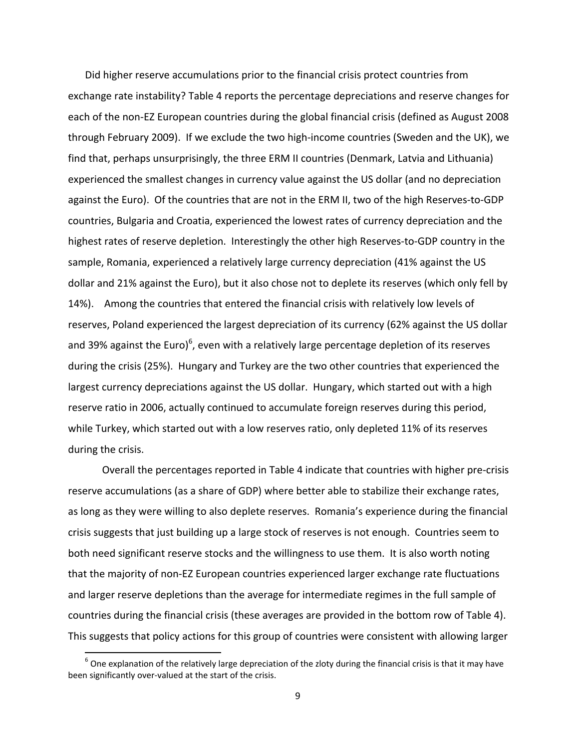Did higher reserve accumulations prior to the financial crisis protect countries from exchange rate instability? Table 4 reports the percentage depreciations and reserve changes for each of the non‐EZ European countries during the global financial crisis (defined as August 2008 through February 2009). If we exclude the two high‐income countries (Sweden and the UK), we find that, perhaps unsurprisingly, the three ERM II countries (Denmark, Latvia and Lithuania) experienced the smallest changes in currency value against the US dollar (and no depreciation against the Euro). Of the countries that are not in the ERM II, two of the high Reserves‐to‐GDP countries, Bulgaria and Croatia, experienced the lowest rates of currency depreciation and the highest rates of reserve depletion. Interestingly the other high Reserves‐to‐GDP country in the sample, Romania, experienced a relatively large currency depreciation (41% against the US dollar and 21% against the Euro), but it also chose not to deplete its reserves (which only fell by 14%). Among the countries that entered the financial crisis with relatively low levels of reserves, Poland experienced the largest depreciation of its currency (62% against the US dollar and 39% against the Euro)<sup>6</sup>, even with a relatively large percentage depletion of its reserves during the crisis (25%). Hungary and Turkey are the two other countries that experienced the largest currency depreciations against the US dollar. Hungary, which started out with a high reserve ratio in 2006, actually continued to accumulate foreign reserves during this period, while Turkey, which started out with a low reserves ratio, only depleted 11% of its reserves during the crisis.

Overall the percentages reported in Table 4 indicate that countries with higher pre‐crisis reserve accumulations (as a share of GDP) where better able to stabilize their exchange rates, as long as they were willing to also deplete reserves. Romania's experience during the financial crisis suggests that just building up a large stock of reserves is not enough. Countries seem to both need significant reserve stocks and the willingness to use them. It is also worth noting that the majority of non‐EZ European countries experienced larger exchange rate fluctuations and larger reserve depletions than the average for intermediate regimes in the full sample of countries during the financial crisis (these averages are provided in the bottom row of Table 4). This suggests that policy actions for this group of countries were consistent with allowing larger

 $^6$  One explanation of the relatively large depreciation of the zloty during the financial crisis is that it may have been significantly over-valued at the start of the crisis.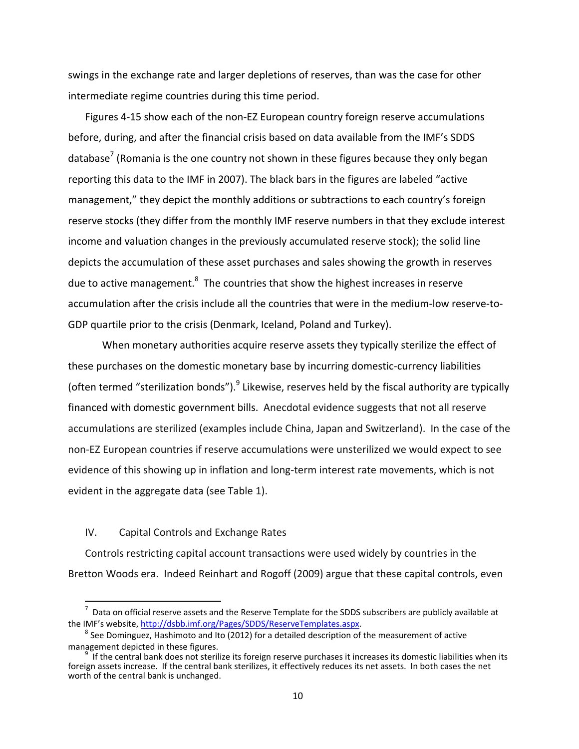swings in the exchange rate and larger depletions of reserves, than was the case for other intermediate regime countries during this time period.

Figures 4‐15 show each of the non‐EZ European country foreign reserve accumulations before, during, and after the financial crisis based on data available from the IMF's SDDS database<sup>7</sup> (Romania is the one country not shown in these figures because they only began reporting this data to the IMF in 2007). The black bars in the figures are labeled "active management," they depict the monthly additions or subtractions to each country's foreign reserve stocks (they differ from the monthly IMF reserve numbers in that they exclude interest income and valuation changes in the previously accumulated reserve stock); the solid line depicts the accumulation of these asset purchases and sales showing the growth in reserves due to active management. $^8$  The countries that show the highest increases in reserve accumulation after the crisis include all the countries that were in the medium‐low reserve‐to‐ GDP quartile prior to the crisis (Denmark, Iceland, Poland and Turkey).

When monetary authorities acquire reserve assets they typically sterilize the effect of these purchases on the domestic monetary base by incurring domestic-currency liabilities (often termed "sterilization bonds").  $9$  Likewise, reserves held by the fiscal authority are typically financed with domestic government bills. Anecdotal evidence suggests that not all reserve accumulations are sterilized (examples include China, Japan and Switzerland). In the case of the non‐EZ European countries if reserve accumulations were unsterilized we would expect to see evidence of this showing up in inflation and long‐term interest rate movements, which is not evident in the aggregate data (see Table 1).

#### IV. Capital Controls and Exchange Rates

Controls restricting capital account transactions were used widely by countries in the Bretton Woods era. Indeed Reinhart and Rogoff (2009) argue that these capital controls, even

 $^7$  Data on official reserve assets and the Reserve Template for the SDDS subscribers are publicly available at the IMF's website, http://dsbb.imf.org/Pages/SDDS/ReserveTemplates.aspx.<br><sup>8</sup> See Dominguez, Hashimoto and Ito (2012) for a detailed description of the measurement of active

management depicted in these figures. <sup>9</sup>

If the central bank does not sterilize its foreign reserve purchases it increases its domestic liabilities when its foreign assets increase. If the central bank sterilizes, it effectively reduces its net assets. In both cases the net worth of the central bank is unchanged.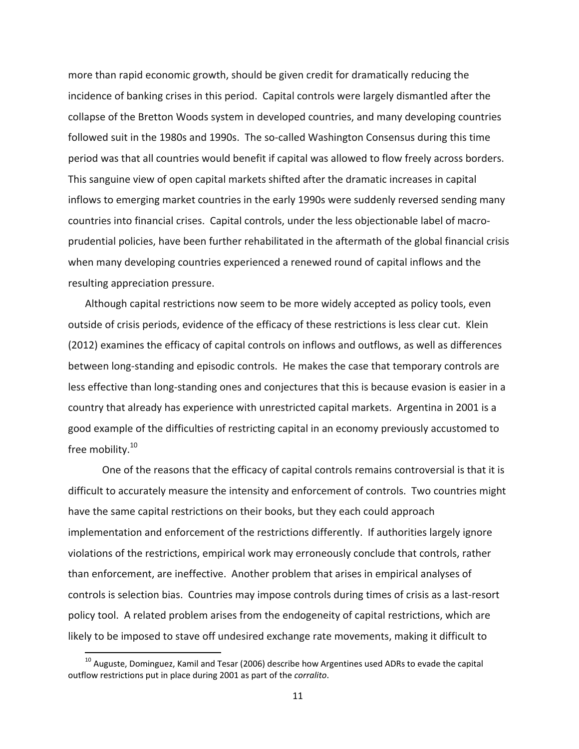more than rapid economic growth, should be given credit for dramatically reducing the incidence of banking crises in this period. Capital controls were largely dismantled after the collapse of the Bretton Woods system in developed countries, and many developing countries followed suit in the 1980s and 1990s. The so-called Washington Consensus during this time period was that all countries would benefit if capital was allowed to flow freely across borders. This sanguine view of open capital markets shifted after the dramatic increases in capital inflows to emerging market countries in the early 1990s were suddenly reversed sending many countries into financial crises. Capital controls, under the less objectionable label of macro‐ prudential policies, have been further rehabilitated in the aftermath of the global financial crisis when many developing countries experienced a renewed round of capital inflows and the resulting appreciation pressure.

Although capital restrictions now seem to be more widely accepted as policy tools, even outside of crisis periods, evidence of the efficacy of these restrictions is less clear cut. Klein (2012) examines the efficacy of capital controls on inflows and outflows, as well as differences between long‐standing and episodic controls. He makes the case that temporary controls are less effective than long-standing ones and conjectures that this is because evasion is easier in a country that already has experience with unrestricted capital markets. Argentina in 2001 is a good example of the difficulties of restricting capital in an economy previously accustomed to free mobility.<sup>10</sup>

One of the reasons that the efficacy of capital controls remains controversial is that it is difficult to accurately measure the intensity and enforcement of controls. Two countries might have the same capital restrictions on their books, but they each could approach implementation and enforcement of the restrictions differently. If authorities largely ignore violations of the restrictions, empirical work may erroneously conclude that controls, rather than enforcement, are ineffective. Another problem that arises in empirical analyses of controls is selection bias. Countries may impose controls during times of crisis as a last‐resort policy tool. A related problem arises from the endogeneity of capital restrictions, which are likely to be imposed to stave off undesired exchange rate movements, making it difficult to

 $10$  Auguste, Dominguez, Kamil and Tesar (2006) describe how Argentines used ADRs to evade the capital outflow restrictions put in place during 2001 as part of the *corralito*.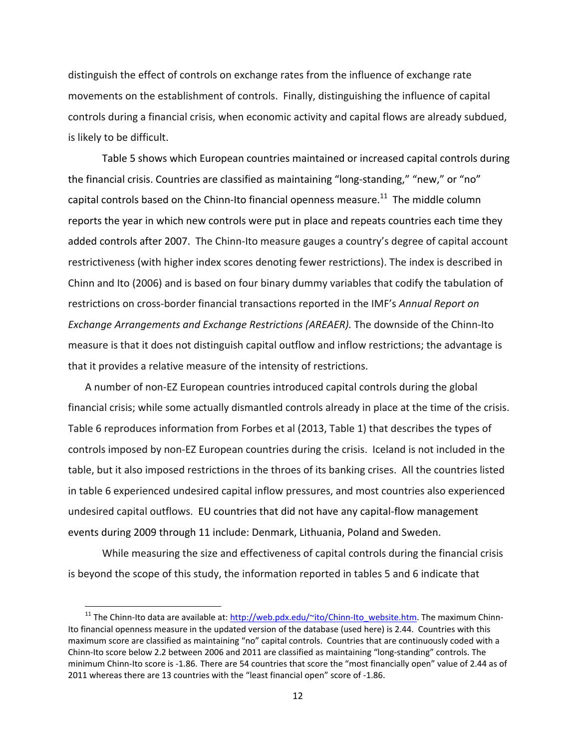distinguish the effect of controls on exchange rates from the influence of exchange rate movements on the establishment of controls. Finally, distinguishing the influence of capital controls during a financial crisis, when economic activity and capital flows are already subdued, is likely to be difficult.

Table 5 shows which European countries maintained or increased capital controls during the financial crisis. Countries are classified as maintaining "long‐standing," "new," or "no" capital controls based on the Chinn-Ito financial openness measure.<sup>11</sup> The middle column reports the year in which new controls were put in place and repeats countries each time they added controls after 2007. The Chinn‐Ito measure gauges a country's degree of capital account restrictiveness (with higher index scores denoting fewer restrictions). The index is described in Chinn and Ito (2006) and is based on four binary dummy variables that codify the tabulation of restrictions on cross‐border financial transactions reported in the IMF's *Annual Report on Exchange Arrangements and Exchange Restrictions (AREAER).* The downside of the Chinn‐Ito measure is that it does not distinguish capital outflow and inflow restrictions; the advantage is that it provides a relative measure of the intensity of restrictions.

A number of non‐EZ European countries introduced capital controls during the global financial crisis; while some actually dismantled controls already in place at the time of the crisis. Table 6 reproduces information from Forbes et al (2013, Table 1) that describes the types of controls imposed by non‐EZ European countries during the crisis. Iceland is not included in the table, but it also imposed restrictions in the throes of its banking crises. All the countries listed in table 6 experienced undesired capital inflow pressures, and most countries also experienced undesired capital outflows. EU countries that did not have any capital‐flow management events during 2009 through 11 include: Denmark, Lithuania, Poland and Sweden.

While measuring the size and effectiveness of capital controls during the financial crisis is beyond the scope of this study, the information reported in tables 5 and 6 indicate that

<sup>&</sup>lt;sup>11</sup> The Chinn-Ito data are available at: http://web.pdx.edu/~ito/Chinn-Ito\_website.htm. The maximum Chinn-Ito financial openness measure in the updated version of the database (used here) is 2.44. Countries with this maximum score are classified as maintaining "no" capital controls. Countries that are continuously coded with a Chinn‐Ito score below 2.2 between 2006 and 2011 are classified as maintaining "long‐standing" controls. The minimum Chinn-Ito score is -1.86. There are 54 countries that score the "most financially open" value of 2.44 as of 2011 whereas there are 13 countries with the "least financial open" score of ‐1.86.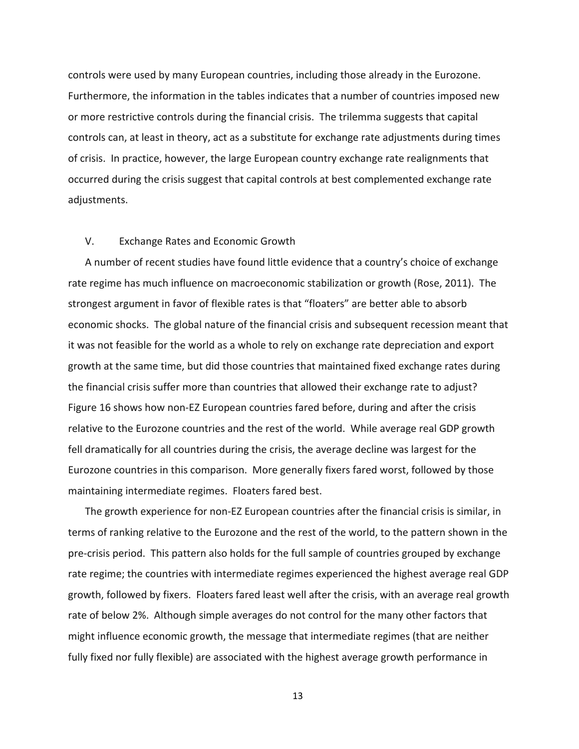controls were used by many European countries, including those already in the Eurozone. Furthermore, the information in the tables indicates that a number of countries imposed new or more restrictive controls during the financial crisis. The trilemma suggests that capital controls can, at least in theory, act as a substitute for exchange rate adjustments during times of crisis. In practice, however, the large European country exchange rate realignments that occurred during the crisis suggest that capital controls at best complemented exchange rate adjustments.

#### V. Exchange Rates and Economic Growth

A number of recent studies have found little evidence that a country's choice of exchange rate regime has much influence on macroeconomic stabilization or growth (Rose, 2011). The strongest argument in favor of flexible rates is that "floaters" are better able to absorb economic shocks. The global nature of the financial crisis and subsequent recession meant that it was not feasible for the world as a whole to rely on exchange rate depreciation and export growth at the same time, but did those countries that maintained fixed exchange rates during the financial crisis suffer more than countries that allowed their exchange rate to adjust? Figure 16 shows how non‐EZ European countries fared before, during and after the crisis relative to the Eurozone countries and the rest of the world. While average real GDP growth fell dramatically for all countries during the crisis, the average decline was largest for the Eurozone countries in this comparison. More generally fixers fared worst, followed by those maintaining intermediate regimes. Floaters fared best.

The growth experience for non‐EZ European countries after the financial crisis is similar, in terms of ranking relative to the Eurozone and the rest of the world, to the pattern shown in the pre‐crisis period. This pattern also holds for the full sample of countries grouped by exchange rate regime; the countries with intermediate regimes experienced the highest average real GDP growth, followed by fixers. Floaters fared least well after the crisis, with an average real growth rate of below 2%. Although simple averages do not control for the many other factors that might influence economic growth, the message that intermediate regimes (that are neither fully fixed nor fully flexible) are associated with the highest average growth performance in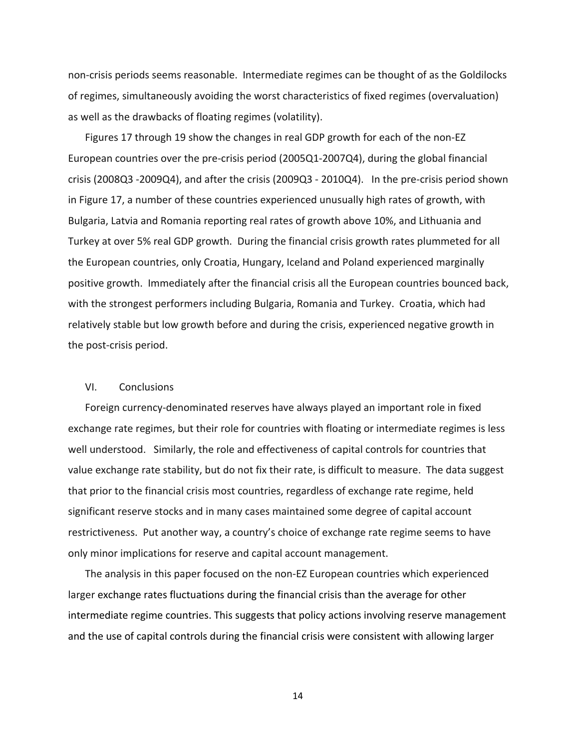non-crisis periods seems reasonable. Intermediate regimes can be thought of as the Goldilocks of regimes, simultaneously avoiding the worst characteristics of fixed regimes (overvaluation) as well as the drawbacks of floating regimes (volatility).

Figures 17 through 19 show the changes in real GDP growth for each of the non‐EZ European countries over the pre‐crisis period (2005Q1‐2007Q4), during the global financial crisis (2008Q3 ‐2009Q4), and after the crisis (2009Q3 ‐ 2010Q4). In the pre‐crisis period shown in Figure 17, a number of these countries experienced unusually high rates of growth, with Bulgaria, Latvia and Romania reporting real rates of growth above 10%, and Lithuania and Turkey at over 5% real GDP growth. During the financial crisis growth rates plummeted for all the European countries, only Croatia, Hungary, Iceland and Poland experienced marginally positive growth. Immediately after the financial crisis all the European countries bounced back, with the strongest performers including Bulgaria, Romania and Turkey. Croatia, which had relatively stable but low growth before and during the crisis, experienced negative growth in the post‐crisis period.

#### VI. Conclusions

Foreign currency‐denominated reserves have always played an important role in fixed exchange rate regimes, but their role for countries with floating or intermediate regimes is less well understood. Similarly, the role and effectiveness of capital controls for countries that value exchange rate stability, but do not fix their rate, is difficult to measure. The data suggest that prior to the financial crisis most countries, regardless of exchange rate regime, held significant reserve stocks and in many cases maintained some degree of capital account restrictiveness. Put another way, a country's choice of exchange rate regime seems to have only minor implications for reserve and capital account management.

The analysis in this paper focused on the non‐EZ European countries which experienced larger exchange rates fluctuations during the financial crisis than the average for other intermediate regime countries. This suggests that policy actions involving reserve management and the use of capital controls during the financial crisis were consistent with allowing larger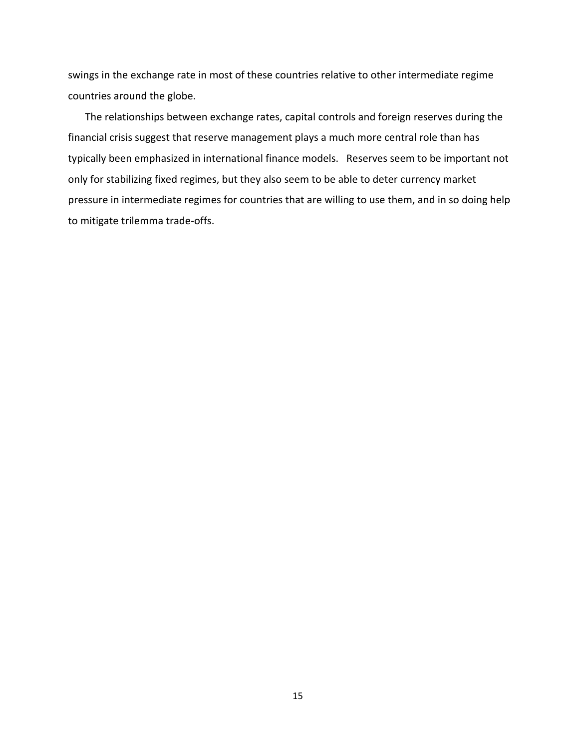swings in the exchange rate in most of these countries relative to other intermediate regime countries around the globe.

The relationships between exchange rates, capital controls and foreign reserves during the financial crisis suggest that reserve management plays a much more central role than has typically been emphasized in international finance models. Reserves seem to be important not only for stabilizing fixed regimes, but they also seem to be able to deter currency market pressure in intermediate regimes for countries that are willing to use them, and in so doing help to mitigate trilemma trade‐offs.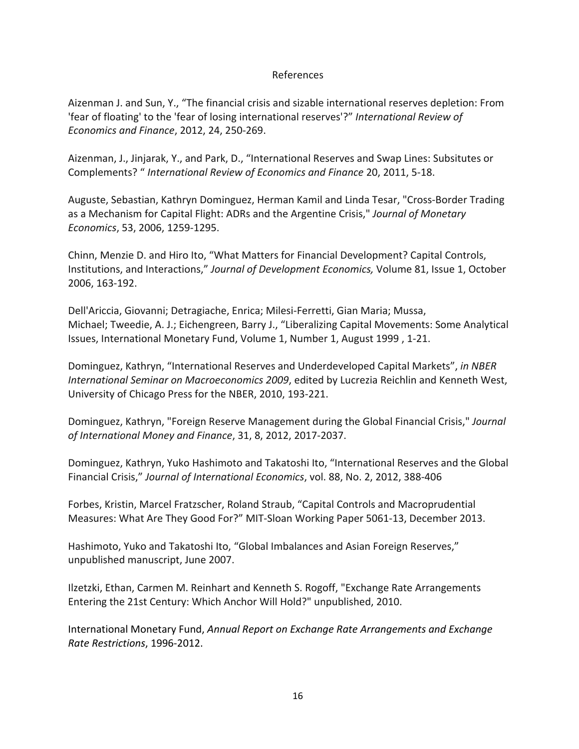#### References

Aizenman J. and Sun, Y., "The financial crisis and sizable international reserves depletion: From 'fear of floating' to the 'fear of losing international reserves'?" *International Review of Economics and Finance*, 2012, 24, 250‐269.

Aizenman, J., Jinjarak, Y., and Park, D., "International Reserves and Swap Lines: Subsitutes or Complements? " *International Review of Economics and Finance* 20, 2011, 5‐18.

Auguste, Sebastian, Kathryn Dominguez, Herman Kamil and Linda Tesar, "Cross‐Border Trading as a Mechanism for Capital Flight: ADRs and the Argentine Crisis," *Journal of Monetary Economics*, 53, 2006, 1259‐1295.

Chinn, Menzie D. and Hiro Ito, "What Matters for Financial Development? Capital Controls, Institutions, and Interactions," *Journal of Development Economics,* Volume 81, Issue 1, October 2006, 163‐192.

Dell'Ariccia, Giovanni; Detragiache, Enrica; Milesi‐Ferretti, Gian Maria; Mussa, Michael; Tweedie, A. J.; Eichengreen, Barry J., "Liberalizing Capital Movements: Some Analytical Issues, International Monetary Fund, Volume 1, Number 1, August 1999 , 1‐21.

Dominguez, Kathryn, "International Reserves and Underdeveloped Capital Markets", *in NBER International Seminar on Macroeconomics 2009*, edited by Lucrezia Reichlin and Kenneth West, University of Chicago Press for the NBER, 2010, 193‐221.

Dominguez, Kathryn, "Foreign Reserve Management during the Global Financial Crisis," *Journal of International Money and Finance*, 31, 8, 2012, 2017‐2037.

Dominguez, Kathryn, Yuko Hashimoto and Takatoshi Ito, "International Reserves and the Global Financial Crisis," *Journal of International Economics*, vol. 88, No. 2, 2012, 388‐406

Forbes, Kristin, Marcel Fratzscher, Roland Straub, "Capital Controls and Macroprudential Measures: What Are They Good For?" MIT‐Sloan Working Paper 5061‐13, December 2013.

Hashimoto, Yuko and Takatoshi Ito, "Global Imbalances and Asian Foreign Reserves," unpublished manuscript, June 2007.

Ilzetzki, Ethan, Carmen M. Reinhart and Kenneth S. Rogoff, "Exchange Rate Arrangements Entering the 21st Century: Which Anchor Will Hold?" unpublished, 2010.

International Monetary Fund, *Annual Report on Exchange Rate Arrangements and Exchange Rate Restrictions*, 1996‐2012.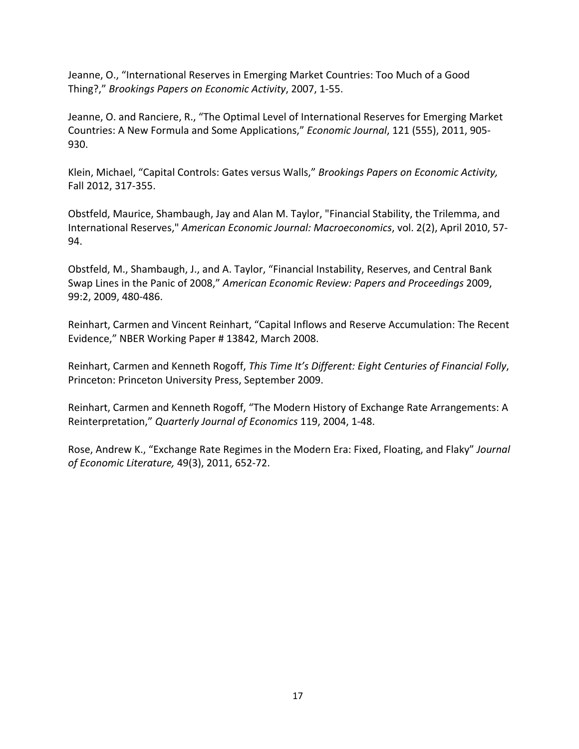Jeanne, O., "International Reserves in Emerging Market Countries: Too Much of a Good Thing?," *Brookings Papers on Economic Activity*, 2007, 1‐55.

Jeanne, O. and Ranciere, R., "The Optimal Level of International Reserves for Emerging Market Countries: A New Formula and Some Applications," *Economic Journal*, 121 (555), 2011, 905‐ 930.

Klein, Michael, "Capital Controls: Gates versus Walls," *Brookings Papers on Economic Activity,* Fall 2012, 317‐355.

Obstfeld, Maurice, Shambaugh, Jay and Alan M. Taylor, "Financial Stability, the Trilemma, and International Reserves," *American Economic Journal: Macroeconomics*, vol. 2(2), April 2010, 57‐ 94.

Obstfeld, M., Shambaugh, J., and A. Taylor, "Financial Instability, Reserves, and Central Bank Swap Lines in the Panic of 2008," *American Economic Review: Papers and Proceedings* 2009, 99:2, 2009, 480‐486.

Reinhart, Carmen and Vincent Reinhart, "Capital Inflows and Reserve Accumulation: The Recent Evidence," NBER Working Paper # 13842, March 2008.

Reinhart, Carmen and Kenneth Rogoff, *This Time It's Different: Eight Centuries of Financial Folly*, Princeton: Princeton University Press, September 2009.

Reinhart, Carmen and Kenneth Rogoff, "The Modern History of Exchange Rate Arrangements: A Reinterpretation," *Quarterly Journal of Economics* 119, 2004, 1‐48.

Rose, Andrew K., "Exchange Rate Regimes in the Modern Era: Fixed, Floating, and Flaky" *Journal of Economic Literature,* 49(3), 2011, 652‐72.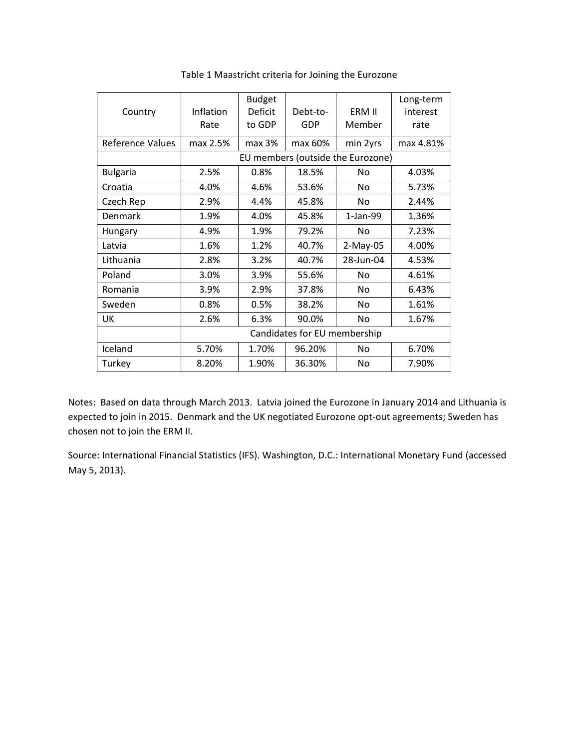| Country                 | Inflation<br>Rate            | <b>Budget</b><br><b>Deficit</b><br>to GDP | Debt-to-<br>GDP | ERM II<br>Member                  | Long-term<br>interest<br>rate |  |  |  |  |
|-------------------------|------------------------------|-------------------------------------------|-----------------|-----------------------------------|-------------------------------|--|--|--|--|
| <b>Reference Values</b> | max 2.5%                     | max 3%                                    | max 60%         | min 2yrs                          | max 4.81%                     |  |  |  |  |
|                         |                              |                                           |                 | EU members (outside the Eurozone) |                               |  |  |  |  |
| <b>Bulgaria</b>         | 2.5%                         | 0.8%                                      | 18.5%           | No.                               | 4.03%                         |  |  |  |  |
| Croatia                 | 4.0%                         | 4.6%                                      | 53.6%           | No                                | 5.73%                         |  |  |  |  |
| Czech Rep               | 2.9%                         | 4.4%                                      | 45.8%           | No                                | 2.44%                         |  |  |  |  |
| Denmark                 | 1.9%                         | 4.0%                                      | 45.8%           | 1-Jan-99                          | 1.36%                         |  |  |  |  |
| Hungary                 | 4.9%                         | 1.9%                                      | 79.2%           | No                                | 7.23%                         |  |  |  |  |
| Latvia                  | 1.6%                         | 1.2%                                      | 40.7%           | $2-May-05$                        | 4.00%                         |  |  |  |  |
| Lithuania               | 2.8%                         | 3.2%                                      | 40.7%           | 28-Jun-04                         | 4.53%                         |  |  |  |  |
| Poland                  | 3.0%                         | 3.9%                                      | 55.6%           | No.                               | 4.61%                         |  |  |  |  |
| Romania                 | 3.9%                         | 2.9%                                      | 37.8%           | No.                               | 6.43%                         |  |  |  |  |
| Sweden                  | 0.8%                         | 0.5%                                      | 38.2%           | No.                               | 1.61%                         |  |  |  |  |
| UK                      | 2.6%                         | 6.3%                                      | 90.0%           | No.                               | 1.67%                         |  |  |  |  |
|                         | Candidates for EU membership |                                           |                 |                                   |                               |  |  |  |  |
| Iceland                 | 5.70%                        | 1.70%                                     | 96.20%          | No                                | 6.70%                         |  |  |  |  |
| Turkey                  | 8.20%                        | 1.90%                                     | 36.30%          | No                                | 7.90%                         |  |  |  |  |

Table 1 Maastricht criteria for Joining the Eurozone

Notes: Based on data through March 2013. Latvia joined the Eurozone in January 2014 and Lithuania is expected to join in 2015. Denmark and the UK negotiated Eurozone opt-out agreements; Sweden has chosen not to join the ERM II.

Source: International Financial Statistics (IFS). Washington, D.C.: International Monetary Fund (accessed May 5, 2013).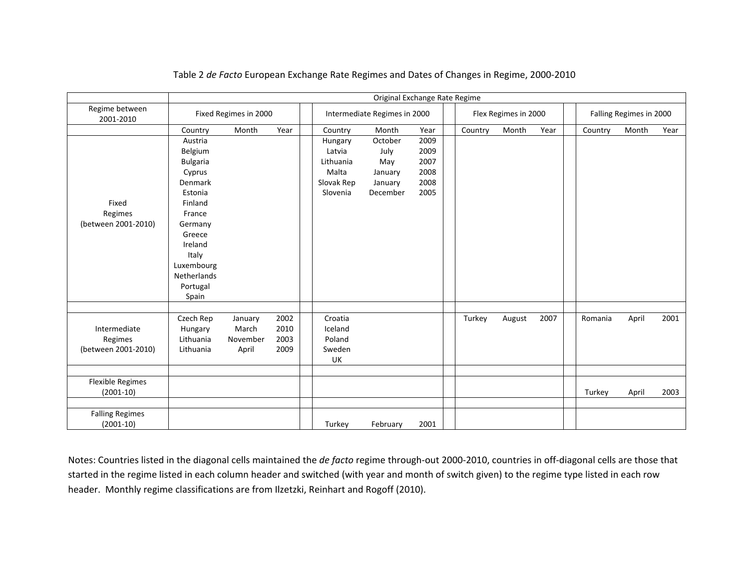|                             |                       | Original Exchange Rate Regime |                              |  |            |                      |      |  |  |                         |        |      |         |       |      |
|-----------------------------|-----------------------|-------------------------------|------------------------------|--|------------|----------------------|------|--|--|-------------------------|--------|------|---------|-------|------|
| Regime between<br>2001-2010 | Fixed Regimes in 2000 |                               | Intermediate Regimes in 2000 |  |            | Flex Regimes in 2000 |      |  |  | Falling Regimes in 2000 |        |      |         |       |      |
|                             | Country               | Month                         | Year                         |  | Country    | Month                | Year |  |  | Country                 | Month  | Year | Country | Month | Year |
|                             | Austria               |                               |                              |  | Hungary    | October              | 2009 |  |  |                         |        |      |         |       |      |
|                             | Belgium               |                               |                              |  | Latvia     | July                 | 2009 |  |  |                         |        |      |         |       |      |
|                             | <b>Bulgaria</b>       |                               |                              |  | Lithuania  | May                  | 2007 |  |  |                         |        |      |         |       |      |
|                             | Cyprus                |                               |                              |  | Malta      | January              | 2008 |  |  |                         |        |      |         |       |      |
|                             | Denmark               |                               |                              |  | Slovak Rep | January              | 2008 |  |  |                         |        |      |         |       |      |
|                             | Estonia               |                               |                              |  | Slovenia   | December             | 2005 |  |  |                         |        |      |         |       |      |
| Fixed                       | Finland               |                               |                              |  |            |                      |      |  |  |                         |        |      |         |       |      |
| Regimes                     | France                |                               |                              |  |            |                      |      |  |  |                         |        |      |         |       |      |
| (between 2001-2010)         | Germany               |                               |                              |  |            |                      |      |  |  |                         |        |      |         |       |      |
|                             | Greece                |                               |                              |  |            |                      |      |  |  |                         |        |      |         |       |      |
|                             | Ireland               |                               |                              |  |            |                      |      |  |  |                         |        |      |         |       |      |
|                             | Italy                 |                               |                              |  |            |                      |      |  |  |                         |        |      |         |       |      |
|                             | Luxembourg            |                               |                              |  |            |                      |      |  |  |                         |        |      |         |       |      |
|                             | <b>Netherlands</b>    |                               |                              |  |            |                      |      |  |  |                         |        |      |         |       |      |
|                             | Portugal              |                               |                              |  |            |                      |      |  |  |                         |        |      |         |       |      |
|                             | Spain                 |                               |                              |  |            |                      |      |  |  |                         |        |      |         |       |      |
|                             |                       |                               |                              |  |            |                      |      |  |  |                         |        |      |         |       |      |
|                             | Czech Rep             | January                       | 2002                         |  | Croatia    |                      |      |  |  | Turkey                  | August | 2007 | Romania | April | 2001 |
| Intermediate                | Hungary               | March                         | 2010                         |  | Iceland    |                      |      |  |  |                         |        |      |         |       |      |
| Regimes                     | Lithuania             | November                      | 2003                         |  | Poland     |                      |      |  |  |                         |        |      |         |       |      |
| (between 2001-2010)         | Lithuania             | April                         | 2009                         |  | Sweden     |                      |      |  |  |                         |        |      |         |       |      |
|                             |                       |                               |                              |  | UK         |                      |      |  |  |                         |        |      |         |       |      |
|                             |                       |                               |                              |  |            |                      |      |  |  |                         |        |      |         |       |      |
| <b>Flexible Regimes</b>     |                       |                               |                              |  |            |                      |      |  |  |                         |        |      |         |       |      |
| $(2001-10)$                 |                       |                               |                              |  |            |                      |      |  |  |                         |        |      | Turkey  | April | 2003 |
|                             |                       |                               |                              |  |            |                      |      |  |  |                         |        |      |         |       |      |
| <b>Falling Regimes</b>      |                       |                               |                              |  |            |                      |      |  |  |                         |        |      |         |       |      |
| $(2001-10)$                 |                       |                               |                              |  | Turkey     | February             | 2001 |  |  |                         |        |      |         |       |      |

Table 2 *de Facto* European Exchange Rate Regimes and Dates of Changes in Regime, 2000‐2010

Notes: Countries listed in the diagonal cells maintained the *de facto* regime through‐out 2000‐2010, countries in off‐diagonal cells are those that started in the regime listed in each column header and switched (with year and month of switch given) to the regime type listed in each row header. Monthly regime classifications are from Ilzetzki, Reinhart and Rogoff (2010).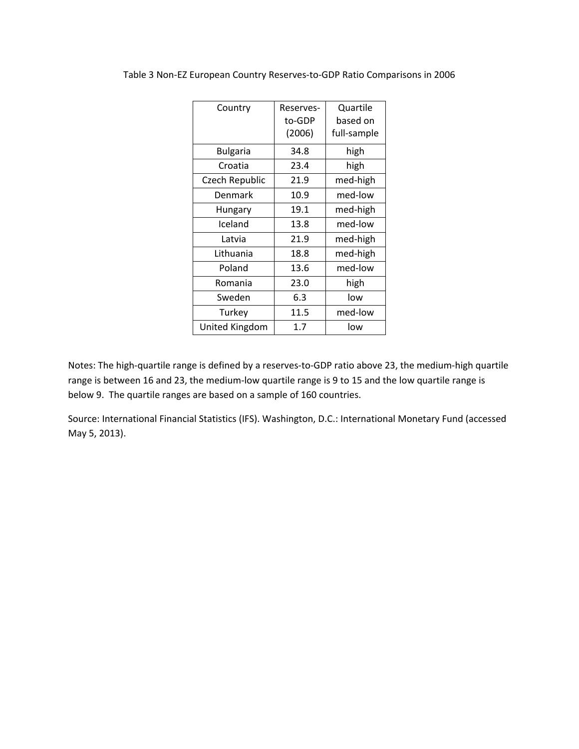| Country         | Reserves-<br>to-GDP<br>(2006) | Quartile<br>based on<br>full-sample |
|-----------------|-------------------------------|-------------------------------------|
| <b>Bulgaria</b> | 34.8                          | high                                |
| Croatia         | 23.4                          | high                                |
| Czech Republic  | 21.9                          | med-high                            |
| Denmark         | 10.9                          | med-low                             |
| Hungary         | 19.1                          | med-high                            |
| Iceland         | 13.8                          | med-low                             |
| Latvia          | 21.9                          | med-high                            |
| Lithuania       | 18.8                          | med-high                            |
| Poland          | 13.6                          | med-low                             |
| Romania         | 23.0                          | high                                |
| Sweden          | 6.3                           | low                                 |
| Turkey          | 11.5                          | med-low                             |
| United Kingdom  | 1.7                           | low                                 |

Table 3 Non‐EZ European Country Reserves‐to‐GDP Ratio Comparisons in 2006

Notes: The high‐quartile range is defined by a reserves‐to‐GDP ratio above 23, the medium‐high quartile range is between 16 and 23, the medium‐low quartile range is 9 to 15 and the low quartile range is below 9. The quartile ranges are based on a sample of 160 countries.

Source: International Financial Statistics (IFS). Washington, D.C.: International Monetary Fund (accessed May 5, 2013).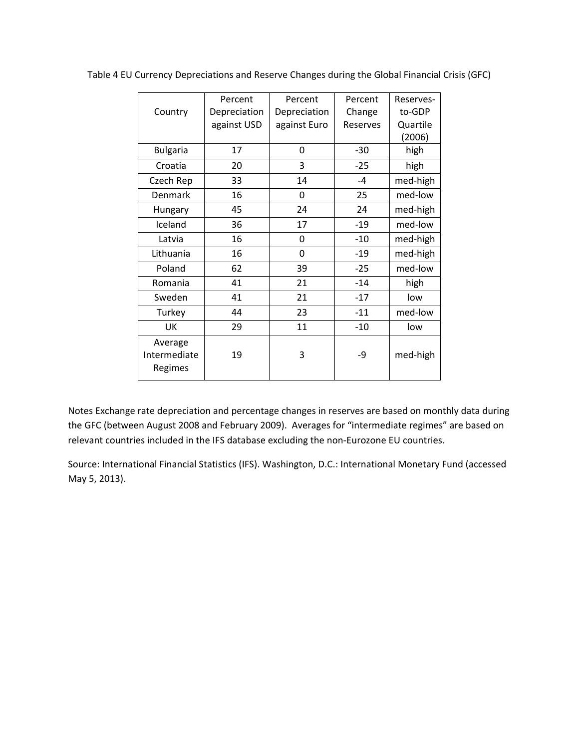|                 | Percent      | Percent      | Percent  | Reserves- |
|-----------------|--------------|--------------|----------|-----------|
| Country         | Depreciation | Depreciation | Change   | to-GDP    |
|                 | against USD  | against Euro | Reserves | Quartile  |
|                 |              |              |          | (2006)    |
| <b>Bulgaria</b> | 17           | 0            | $-30$    | high      |
| Croatia         | 20           | 3            | $-25$    | high      |
| Czech Rep       | 33           | 14           | $-4$     | med-high  |
| Denmark         | 16           | 0            | 25       | med-low   |
| Hungary         | 45           | 24           | 24       | med-high  |
| Iceland         | 36           | 17           | $-19$    | med-low   |
| Latvia          | 16           | 0            | $-10$    | med-high  |
| Lithuania       | 16           | 0            | $-19$    | med-high  |
| Poland          | 62           | 39           | $-25$    | med-low   |
| Romania         | 41           | 21           | $-14$    | high      |
| Sweden          | 41           | 21           | $-17$    | low       |
| Turkey          | 44           | 23           | $-11$    | med-low   |
| UK              | 29           | 11           | $-10$    | low       |
| Average         |              |              |          |           |
| Intermediate    | 19           | 3            | -9       | med-high  |
| Regimes         |              |              |          |           |

Table 4 EU Currency Depreciations and Reserve Changes during the Global Financial Crisis (GFC)

Notes Exchange rate depreciation and percentage changes in reserves are based on monthly data during the GFC (between August 2008 and February 2009). Averages for "intermediate regimes" are based on relevant countries included in the IFS database excluding the non‐Eurozone EU countries.

Source: International Financial Statistics (IFS). Washington, D.C.: International Monetary Fund (accessed May 5, 2013).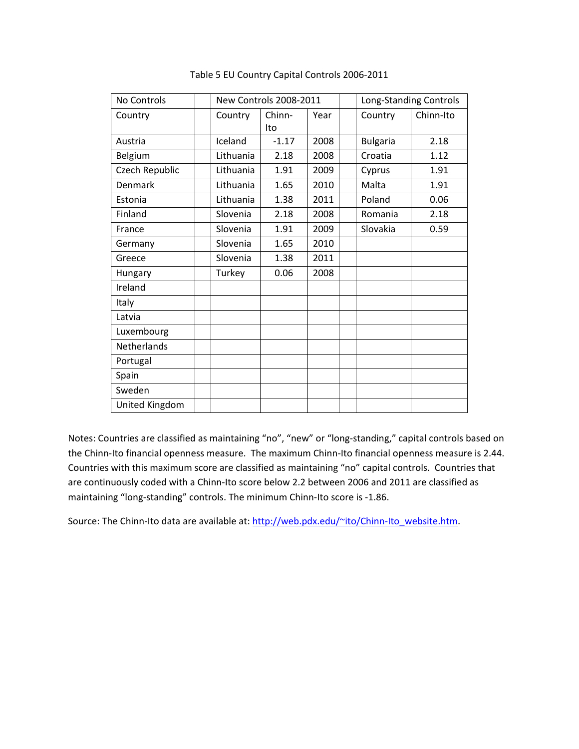| <b>No Controls</b> |           | <b>New Controls 2008-2011</b> |      |  |                 | Long-Standing Controls |  |  |  |
|--------------------|-----------|-------------------------------|------|--|-----------------|------------------------|--|--|--|
| Country            | Country   | Chinn-                        | Year |  | Country         | Chinn-Ito              |  |  |  |
|                    |           | Ito                           |      |  |                 |                        |  |  |  |
| Austria            | Iceland   | $-1.17$                       | 2008 |  | <b>Bulgaria</b> | 2.18                   |  |  |  |
| Belgium            | Lithuania | 2.18                          | 2008 |  | Croatia         | 1.12                   |  |  |  |
| Czech Republic     | Lithuania | 1.91                          | 2009 |  | Cyprus          | 1.91                   |  |  |  |
| Denmark            | Lithuania | 1.65                          | 2010 |  | Malta           | 1.91                   |  |  |  |
| Estonia            | Lithuania | 1.38                          | 2011 |  | Poland          | 0.06                   |  |  |  |
| Finland            | Slovenia  | 2.18                          | 2008 |  | Romania         | 2.18                   |  |  |  |
| France             | Slovenia  | 1.91                          | 2009 |  | Slovakia        | 0.59                   |  |  |  |
| Germany            | Slovenia  | 1.65                          | 2010 |  |                 |                        |  |  |  |
| Greece             | Slovenia  | 1.38                          | 2011 |  |                 |                        |  |  |  |
| <b>Hungary</b>     | Turkey    | 0.06                          | 2008 |  |                 |                        |  |  |  |
| Ireland            |           |                               |      |  |                 |                        |  |  |  |
| Italy              |           |                               |      |  |                 |                        |  |  |  |
| Latvia             |           |                               |      |  |                 |                        |  |  |  |
| Luxembourg         |           |                               |      |  |                 |                        |  |  |  |
| Netherlands        |           |                               |      |  |                 |                        |  |  |  |
| Portugal           |           |                               |      |  |                 |                        |  |  |  |
| Spain              |           |                               |      |  |                 |                        |  |  |  |
| Sweden             |           |                               |      |  |                 |                        |  |  |  |
| United Kingdom     |           |                               |      |  |                 |                        |  |  |  |

Table 5 EU Country Capital Controls 2006‐2011

Notes: Countries are classified as maintaining "no", "new" or "long‐standing," capital controls based on the Chinn-Ito financial openness measure. The maximum Chinn-Ito financial openness measure is 2.44. Countries with this maximum score are classified as maintaining "no" capital controls. Countries that are continuously coded with a Chinn‐Ito score below 2.2 between 2006 and 2011 are classified as maintaining "long-standing" controls. The minimum Chinn-Ito score is -1.86.

Source: The Chinn-Ito data are available at: http://web.pdx.edu/~ito/Chinn-Ito\_website.htm.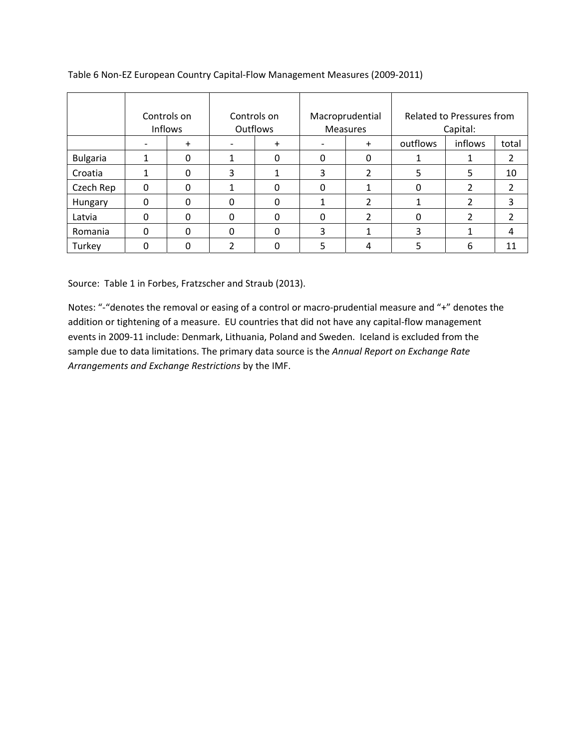|                 | Controls on<br><b>Inflows</b> |          | Controls on<br><b>Outflows</b> |           |                          | Macroprudential<br><b>Measures</b> |          | Related to Pressures from<br>Capital: |       |  |
|-----------------|-------------------------------|----------|--------------------------------|-----------|--------------------------|------------------------------------|----------|---------------------------------------|-------|--|
|                 |                               | $+$      | $\overline{\phantom{a}}$       | $\ddot{}$ | $\overline{\phantom{0}}$ | $+$                                | outflows | inflows                               | total |  |
| <b>Bulgaria</b> |                               | 0        | 1                              | 0         | 0                        | 0                                  |          |                                       | 2     |  |
| Croatia         |                               | $\Omega$ | 3                              | 1         | 3                        | 2                                  | 5        | 5                                     | 10    |  |
| Czech Rep       | $\Omega$                      | $\Omega$ | 1                              | 0         | 0                        |                                    | 0        | 2                                     | 2     |  |
| Hungary         | $\Omega$                      | $\Omega$ | 0                              | 0         |                          | 2                                  |          |                                       | 3     |  |
| Latvia          | $\Omega$                      | $\Omega$ | $\Omega$                       | 0         | 0                        | 2                                  | 0        | 2                                     | 2     |  |
| Romania         | $\Omega$                      | 0        | 0                              | 0         | 3                        |                                    | 3        |                                       | 4     |  |
| Turkey          | $\Omega$                      | 0        | $\overline{2}$                 | 0         | 5                        | 4                                  |          | 6                                     | 11    |  |

Table 6 Non‐EZ European Country Capital‐Flow Management Measures (2009‐2011)

Source: Table 1 in Forbes, Fratzscher and Straub (2013).

Notes: "‐"denotes the removal or easing of a control or macro‐prudential measure and "+" denotes the addition or tightening of a measure. EU countries that did not have any capital-flow management events in 2009‐11 include: Denmark, Lithuania, Poland and Sweden. Iceland is excluded from the sample due to data limitations. The primary data source is the *Annual Report on Exchange Rate Arrangements and Exchange Restrictions* by the IMF.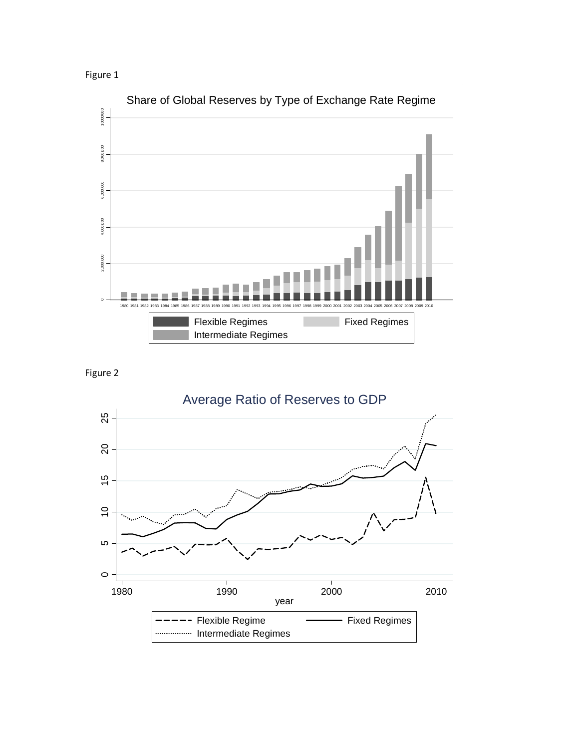Figure 1





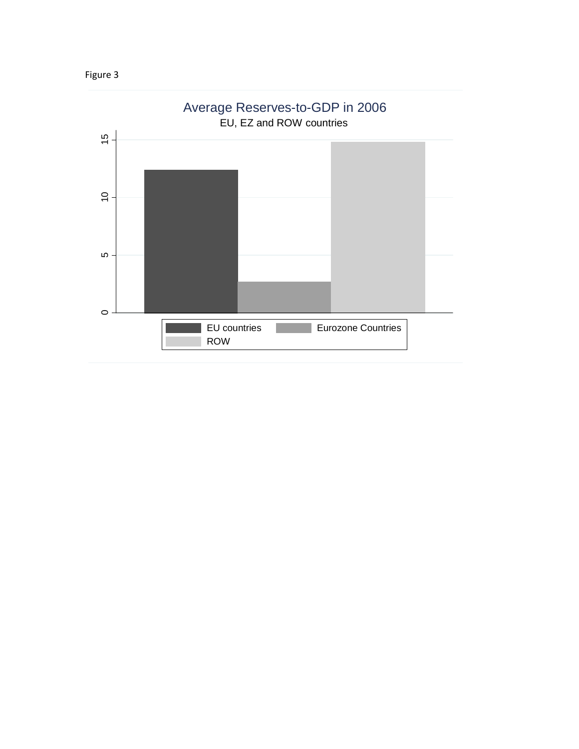

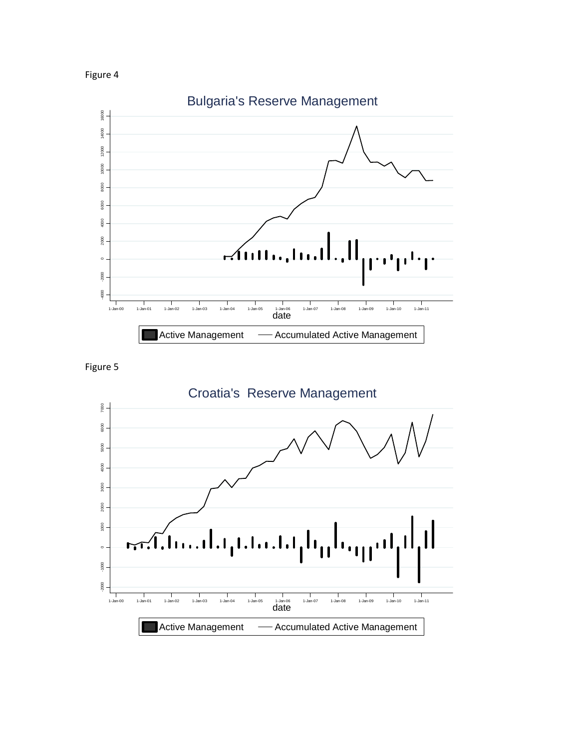





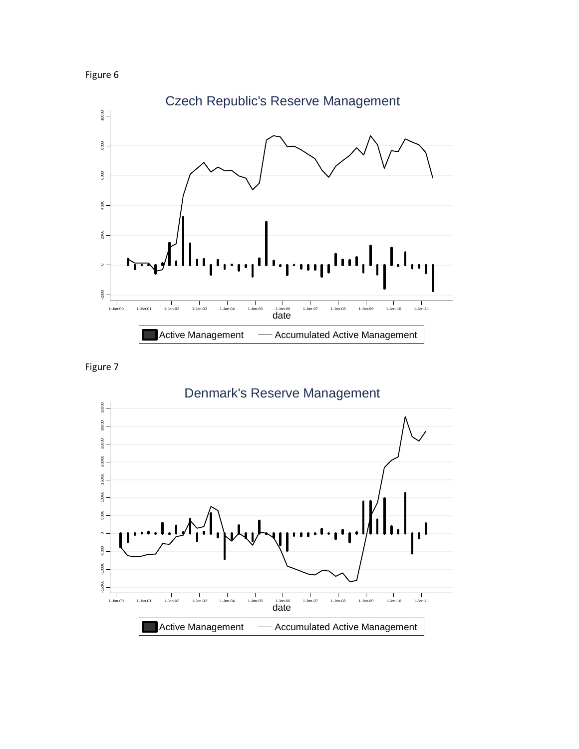





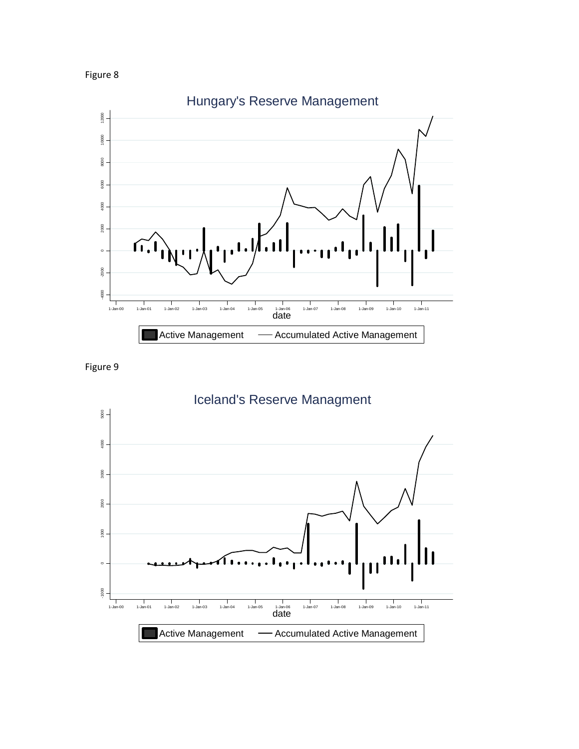





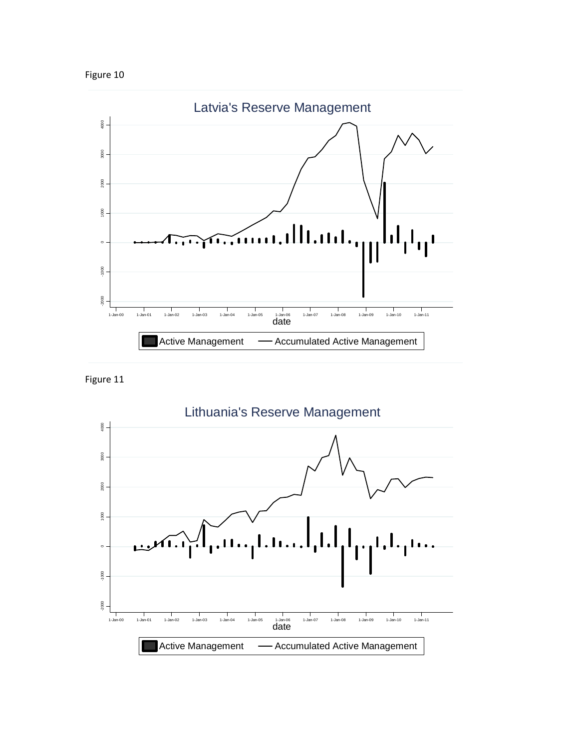



Figure 11

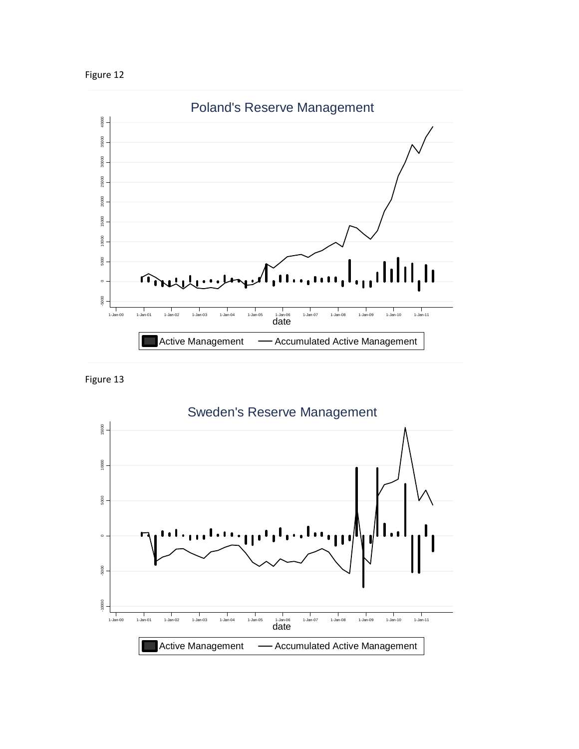





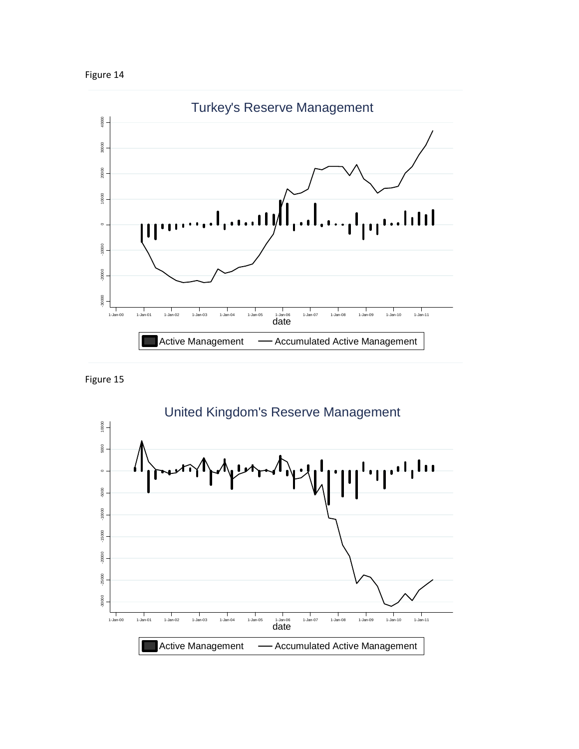





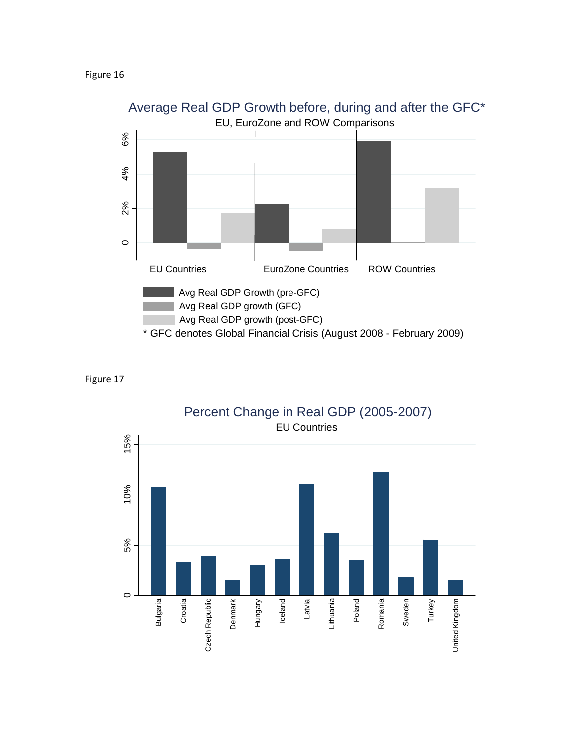